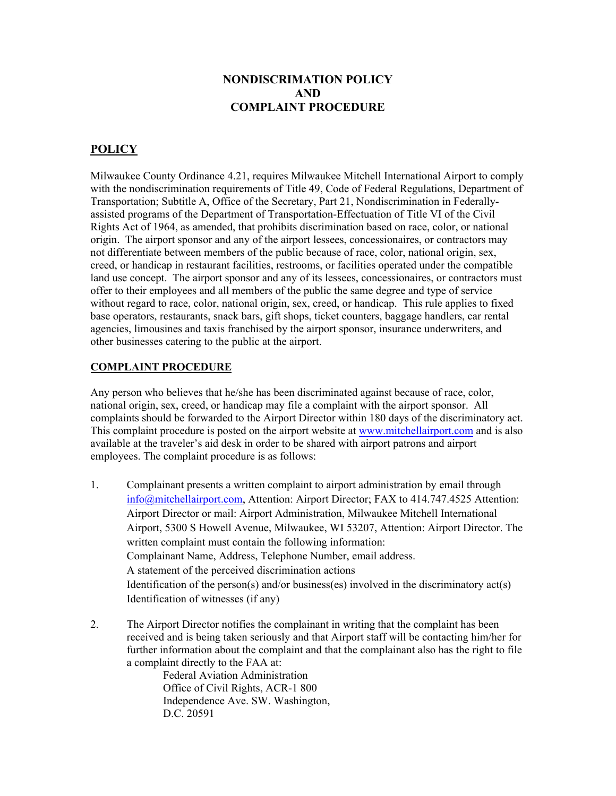### **NONDISCRIMATION POLICY AND COMPLAINT PROCEDURE**

# **POLICY**

Milwaukee County Ordinance 4.21, requires Milwaukee Mitchell International Airport to comply with the nondiscrimination requirements of Title 49, Code of Federal Regulations, Department of Transportation; Subtitle A, Office of the Secretary, Part 21, Nondiscrimination in Federallyassisted programs of the Department of Transportation-Effectuation of Title VI of the Civil Rights Act of 1964, as amended, that prohibits discrimination based on race, color, or national origin. The airport sponsor and any of the airport lessees, concessionaires, or contractors may not differentiate between members of the public because of race, color, national origin, sex, creed, or handicap in restaurant facilities, restrooms, or facilities operated under the compatible land use concept. The airport sponsor and any of its lessees, concessionaires, or contractors must offer to their employees and all members of the public the same degree and type of service without regard to race, color, national origin, sex, creed, or handicap. This rule applies to fixed base operators, restaurants, snack bars, gift shops, ticket counters, baggage handlers, car rental agencies, limousines and taxis franchised by the airport sponsor, insurance underwriters, and other businesses catering to the public at the airport.

#### **COMPLAINT PROCEDURE**

Any person who believes that he/she has been discriminated against because of race, color, national origin, sex, creed, or handicap may file a complaint with the airport sponsor. All complaints should be forwarded to the Airport Director within 180 days of the discriminatory act. This complaint procedure is posted on the airport website at [www.mitchellairport.com](http://www.mitchellairport.com/) and is also available at the traveler's aid desk in order to be shared with airport patrons and airport employees. The complaint procedure is as follows:

- 1. Complainant presents a written complaint to airport administration by email through [info@mitchellairport.com](mailto:info@mitchellairport.com), Attention: Airport Director; FAX to 414.747.4525 Attention: Airport Director or mail: Airport Administration, Milwaukee Mitchell International Airport, 5300 S Howell Avenue, Milwaukee, WI 53207, Attention: Airport Director. The written complaint must contain the following information: Complainant Name, Address, Telephone Number, email address. A statement of the perceived discrimination actions Identification of the person(s) and/or business(es) involved in the discriminatory act(s) Identification of witnesses (if any)
- 2. The Airport Director notifies the complainant in writing that the complaint has been received and is being taken seriously and that Airport staff will be contacting him/her for further information about the complaint and that the complainant also has the right to file a complaint directly to the FAA at:

Federal Aviation Administration Office of Civil Rights, ACR-1 800 Independence Ave. SW. Washington, D.C. 20591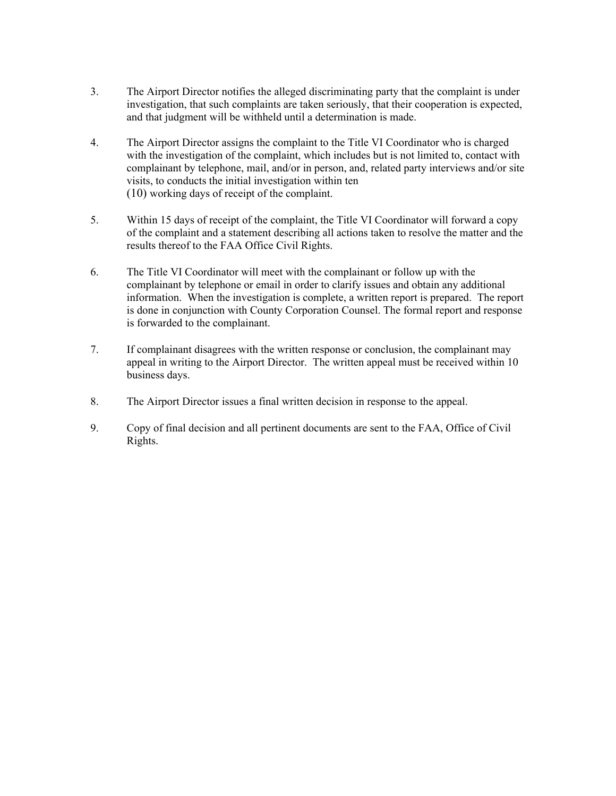- 3. The Airport Director notifies the alleged discriminating party that the complaint is under investigation, that such complaints are taken seriously, that their cooperation is expected, and that judgment will be withheld until a determination is made.
- 4. The Airport Director assigns the complaint to the Title VI Coordinator who is charged with the investigation of the complaint, which includes but is not limited to, contact with complainant by telephone, mail, and/or in person, and, related party interviews and/or site visits, to conducts the initial investigation within ten (10) working days of receipt of the complaint.
- 5. Within 15 days of receipt of the complaint, the Title VI Coordinator will forward a copy of the complaint and a statement describing all actions taken to resolve the matter and the results thereof to the FAA Office Civil Rights.
- 6. The Title VI Coordinator will meet with the complainant or follow up with the complainant by telephone or email in order to clarify issues and obtain any additional information. When the investigation is complete, a written report is prepared. The report is done in conjunction with County Corporation Counsel. The formal report and response is forwarded to the complainant.
- 7. If complainant disagrees with the written response or conclusion, the complainant may appeal in writing to the Airport Director. The written appeal must be received within 10 business days.
- 8. The Airport Director issues a final written decision in response to the appeal.
- 9. Copy of final decision and all pertinent documents are sent to the FAA, Office of Civil Rights.